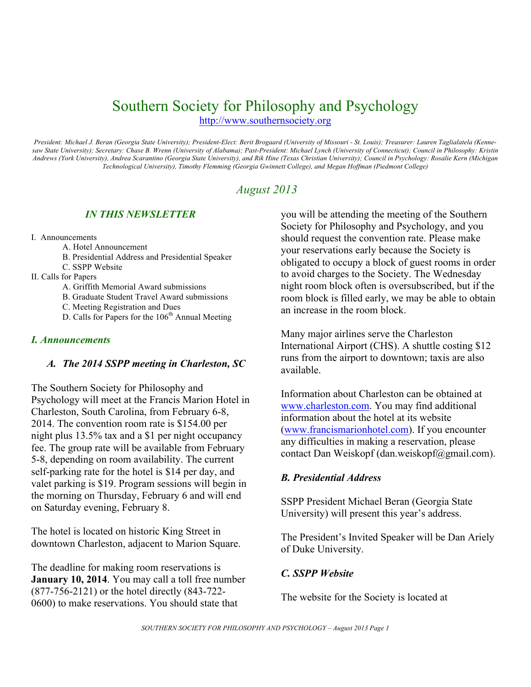## Southern Society for Philosophy and Psychology

http://www.southernsociety.org

*President: Michael J. Beran (Georgia State University); President-Elect: Berit Brogaard (University of Missouri - St. Louis); Treasurer: Lauren Taglialatela (Kennesaw State University); Secretary: Chase B. Wrenn (University of Alabama); Past-President: Michael Lynch (University of Connecticut); Council in Philosophy: Kristin Andrews (York University), Andrea Scarantino (Georgia State University), and Rik Hine (Texas Christian University); Council in Psychology: Rosalie Kern (Michigan Technological University), Timothy Flemming (Georgia Gwinnett College), and Megan Hoffman (Piedmont College)*

## *August 2013*

## *IN THIS NEWSLETTER*

- I. Announcements
	- A. Hotel Announcement
	- B. Presidential Address and Presidential Speaker
	- C. SSPP Website
- II. Calls for Papers
	- A. Griffith Memorial Award submissions
	- B. Graduate Student Travel Award submissions
	- C. Meeting Registration and Dues
	- D. Calls for Papers for the  $106<sup>th</sup>$  Annual Meeting

#### *I. Announcements*

#### *A. The 2014 SSPP meeting in Charleston, SC*

The Southern Society for Philosophy and Psychology will meet at the Francis Marion Hotel in Charleston, South Carolina, from February 6-8, 2014. The convention room rate is \$154.00 per night plus 13.5% tax and a \$1 per night occupancy fee. The group rate will be available from February 5-8, depending on room availability. The current self-parking rate for the hotel is \$14 per day, and valet parking is \$19. Program sessions will begin in the morning on Thursday, February 6 and will end on Saturday evening, February 8.

The hotel is located on historic King Street in downtown Charleston, adjacent to Marion Square.

The deadline for making room reservations is **January 10, 2014**. You may call a toll free number (877-756-2121) or the hotel directly (843-722- 0600) to make reservations. You should state that

you will be attending the meeting of the Southern Society for Philosophy and Psychology, and you should request the convention rate. Please make your reservations early because the Society is obligated to occupy a block of guest rooms in order to avoid charges to the Society. The Wednesday night room block often is oversubscribed, but if the room block is filled early, we may be able to obtain an increase in the room block.

Many major airlines serve the Charleston International Airport (CHS). A shuttle costing \$12 runs from the airport to downtown; taxis are also available.

Information about Charleston can be obtained at www.charleston.com. You may find additional information about the hotel at its website (www.francismarionhotel.com). If you encounter any difficulties in making a reservation, please contact Dan Weiskopf (dan.weiskopf@gmail.com).

## *B. Presidential Address*

SSPP President Michael Beran (Georgia State University) will present this year's address.

The President's Invited Speaker will be Dan Ariely of Duke University.

## *C. SSPP Website*

The website for the Society is located at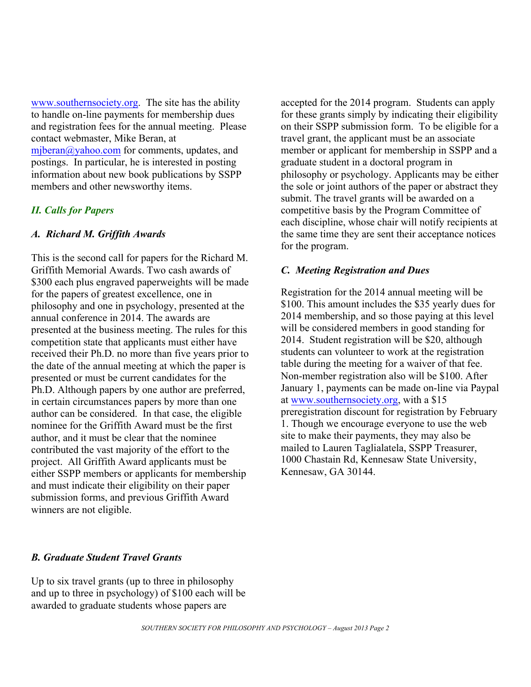www.southernsociety.org. The site has the ability to handle on-line payments for membership dues and registration fees for the annual meeting. Please contact webmaster, Mike Beran, at mjberan $\omega$ yahoo.com for comments, updates, and postings. In particular, he is interested in posting information about new book publications by SSPP members and other newsworthy items.

#### *II. Calls for Papers*

#### *A. Richard M. Griffith Awards*

This is the second call for papers for the Richard M. Griffith Memorial Awards. Two cash awards of \$300 each plus engraved paperweights will be made for the papers of greatest excellence, one in philosophy and one in psychology, presented at the annual conference in 2014. The awards are presented at the business meeting. The rules for this competition state that applicants must either have received their Ph.D. no more than five years prior to the date of the annual meeting at which the paper is presented or must be current candidates for the Ph.D. Although papers by one author are preferred, in certain circumstances papers by more than one author can be considered. In that case, the eligible nominee for the Griffith Award must be the first author, and it must be clear that the nominee contributed the vast majority of the effort to the project. All Griffith Award applicants must be either SSPP members or applicants for membership and must indicate their eligibility on their paper submission forms, and previous Griffith Award winners are not eligible.

accepted for the 2014 program. Students can apply for these grants simply by indicating their eligibility on their SSPP submission form. To be eligible for a travel grant, the applicant must be an associate member or applicant for membership in SSPP and a graduate student in a doctoral program in philosophy or psychology. Applicants may be either the sole or joint authors of the paper or abstract they submit. The travel grants will be awarded on a competitive basis by the Program Committee of each discipline, whose chair will notify recipients at the same time they are sent their acceptance notices for the program.

#### *C. Meeting Registration and Dues*

Registration for the 2014 annual meeting will be \$100. This amount includes the \$35 yearly dues for 2014 membership, and so those paying at this level will be considered members in good standing for 2014. Student registration will be \$20, although students can volunteer to work at the registration table during the meeting for a waiver of that fee. Non-member registration also will be \$100. After January 1, payments can be made on-line via Paypal at www.southernsociety.org, with a \$15 preregistration discount for registration by February 1. Though we encourage everyone to use the web site to make their payments, they may also be mailed to Lauren Taglialatela, SSPP Treasurer, 1000 Chastain Rd, Kennesaw State University, Kennesaw, GA 30144.

#### *B. Graduate Student Travel Grants*

Up to six travel grants (up to three in philosophy and up to three in psychology) of \$100 each will be awarded to graduate students whose papers are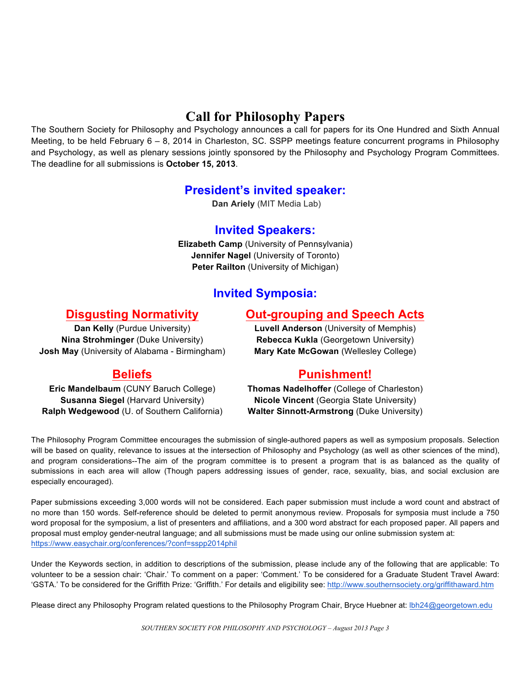## **Call for Philosophy Papers**

The Southern Society for Philosophy and Psychology announces a call for papers for its One Hundred and Sixth Annual Meeting, to be held February 6 – 8, 2014 in Charleston, SC. SSPP meetings feature concurrent programs in Philosophy and Psychology, as well as plenary sessions jointly sponsored by the Philosophy and Psychology Program Committees. The deadline for all submissions is **October 15, 2013**.

## **President's invited speaker:**

**Dan Ariely** (MIT Media Lab)

## **Invited Speakers:**

**Elizabeth Camp** (University of Pennsylvania) **Jennifer Nagel** (University of Toronto) **Peter Railton** (University of Michigan)

## **Invited Symposia:**

## **Disgusting Normativity**

## **Out-grouping and Speech Acts**

**Dan Kelly** (Purdue University) **Nina Strohminger** (Duke University) **Josh May** (University of Alabama - Birmingham)

# **Beliefs**

**Eric Mandelbaum** (CUNY Baruch College) **Susanna Siegel (Harvard University) Ralph Wedgewood** (U. of Southern California) **Luvell Anderson** (University of Memphis) **Rebecca Kukla** (Georgetown University) **Mary Kate McGowan** (Wellesley College)

## **Punishment!**

**Thomas Nadelhoffer** (College of Charleston) **Nicole Vincent** (Georgia State University) **Walter Sinnott-Armstrong** (Duke University)

The Philosophy Program Committee encourages the submission of single-authored papers as well as symposium proposals. Selection will be based on quality, relevance to issues at the intersection of Philosophy and Psychology (as well as other sciences of the mind), and program considerations--The aim of the program committee is to present a program that is as balanced as the quality of submissions in each area will allow (Though papers addressing issues of gender, race, sexuality, bias, and social exclusion are especially encouraged).

Paper submissions exceeding 3,000 words will not be considered. Each paper submission must include a word count and abstract of no more than 150 words. Self-reference should be deleted to permit anonymous review. Proposals for symposia must include a 750 word proposal for the symposium, a list of presenters and affiliations, and a 300 word abstract for each proposed paper. All papers and proposal must employ gender-neutral language; and all submissions must be made using our online submission system at: https://www.easychair.org/conferences/?conf=sspp2014phil

Under the Keywords section, in addition to descriptions of the submission, please include any of the following that are applicable: To volunteer to be a session chair: 'Chair.' To comment on a paper: 'Comment.' To be considered for a Graduate Student Travel Award: 'GSTA.' To be considered for the Griffith Prize: 'Griffith.' For details and eligibility see: http://www.southernsociety.org/griffithaward.htm

Please direct any Philosophy Program related questions to the Philosophy Program Chair, Bryce Huebner at: lbh24@georgetown.edu